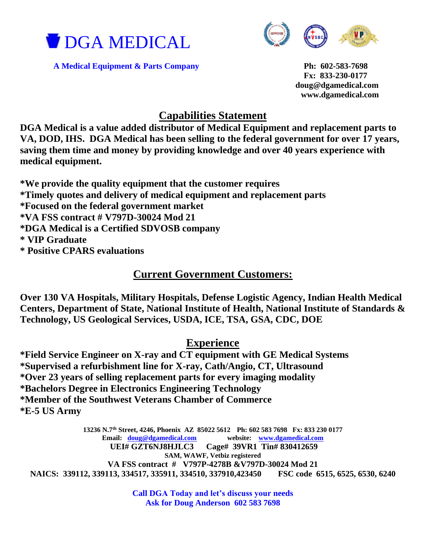



A Medical Equipment & Parts Company Ph: 602-583-7698

 **Fx: 833-230-0177 doug@dgamedical.com www.dgamedical.com** 

## **Capabilities Statement**

**DGA Medical is a value added distributor of Medical Equipment and replacement parts to VA, DOD, IHS. DGA Medical has been selling to the federal government for over 17 years, saving them time and money by providing knowledge and over 40 years experience with medical equipment.** 

**\*We provide the quality equipment that the customer requires**

**\*Timely quotes and delivery of medical equipment and replacement parts**

**\*Focused on the federal government market**

**\*VA FSS contract # V797D-30024 Mod 21**

**\*DGA Medical is a Certified SDVOSB company**

**\* VIP Graduate**

**\* Positive CPARS evaluations**

## **Current Government Customers:**

**Over 130 VA Hospitals, Military Hospitals, Defense Logistic Agency, Indian Health Medical Centers, Department of State, National Institute of Health, National Institute of Standards & Technology, US Geological Services, USDA, ICE, TSA, GSA, CDC, DOE**

## **Experience**

**\*Field Service Engineer on X-ray and CT equipment with GE Medical Systems \*Supervised a refurbishment line for X-ray, Cath/Angio, CT, Ultrasound \*Over 23 years of selling replacement parts for every imaging modality \*Bachelors Degree in Electronics Engineering Technology \*Member of the Southwest Veterans Chamber of Commerce \*E-5 US Army**

**13236 N.7th Street, 4246, Phoenix AZ 85022 5612 Ph: 602 583 7698 Fx: 833 230 0177 Email: [doug@dgamedical.com](mailto:doug@dgamedical.com) website: [www.dgamedical.com](http://www.dgamedical.com/) UEI# GZT6NJ8HJLC3 Cage# 39VR1 Tin# 830412659 SAM, WAWF, Vetbiz registered VA FSS contract # V797P-4278B &V797D-30024 Mod 21 NAICS: 339112, 339113, 334517, 335911, 334510, 337910,423450 FSC code 6515, 6525, 6530, 6240**

> **Call DGA Today and let's discuss your needs Ask for Doug Anderson 602 583 7698**